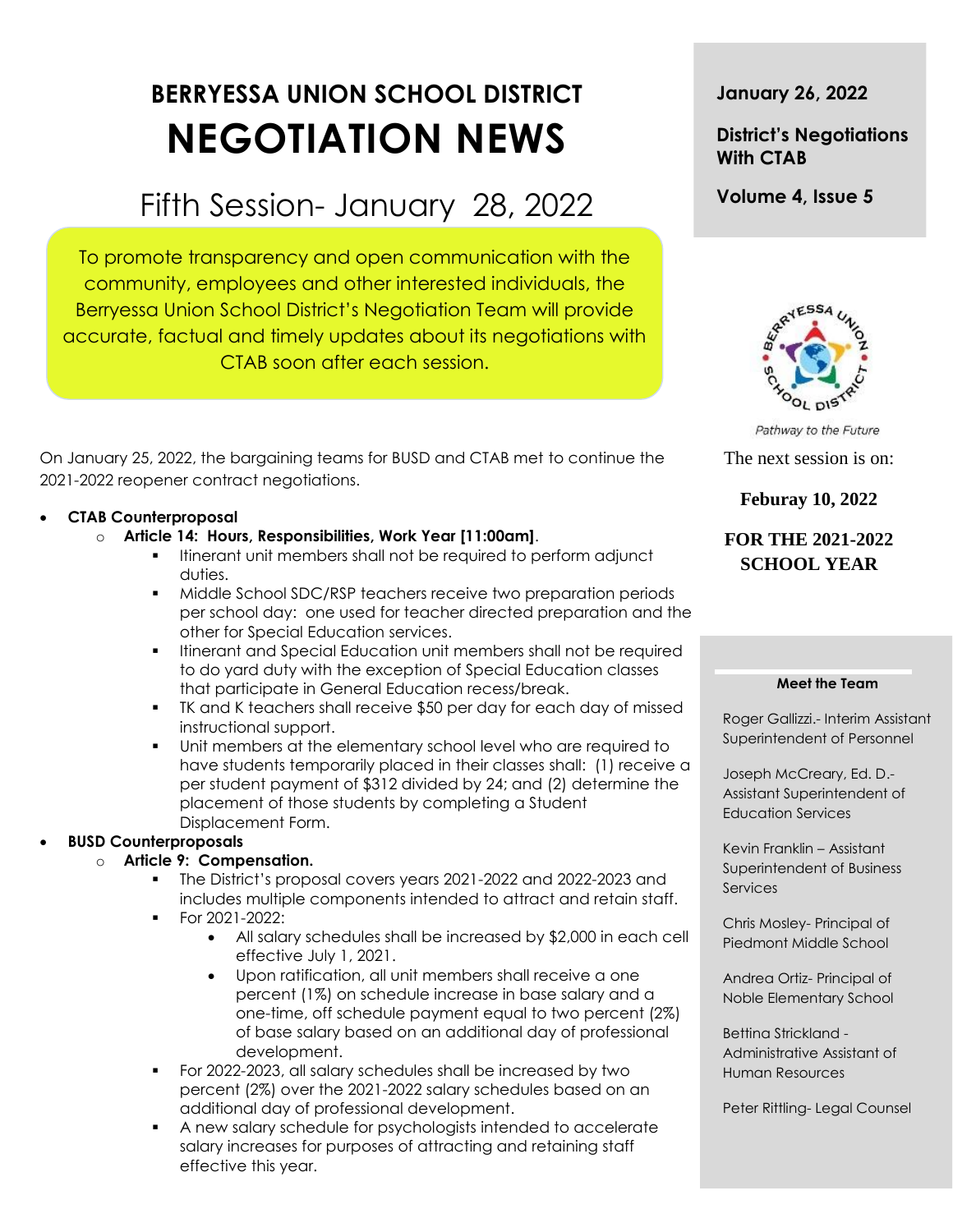# **BERRYESSA UNION SCHOOL DISTRICT NEGOTIATION NEWS**

# Fifth Session- January 28, 2022

To promote transparency and open communication with the community, employees and other interested individuals, the Berryessa Union School District's Negotiation Team will provide accurate, factual and timely updates about its negotiations with CTAB soon after each session.

On January 25, 2022, the bargaining teams for BUSD and CTAB met to continue the 2021-2022 reopener contract negotiations.

#### **CTAB Counterproposal**

- o **Article 14: Hours, Responsibilities, Work Year [11:00am]**.
	- Itinerant unit members shall not be required to perform adjunct duties.
	- Middle School SDC/RSP teachers receive two preparation periods per school day: one used for teacher directed preparation and the other for Special Education services.
	- **Itinerant and Special Education unit members shall not be required** to do yard duty with the exception of Special Education classes that participate in General Education recess/break.
	- TK and K teachers shall receive \$50 per day for each day of missed instructional support.
	- Unit members at the elementary school level who are required to have students temporarily placed in their classes shall: (1) receive a per student payment of \$312 divided by 24; and (2) determine the placement of those students by completing a Student Displacement Form.

#### **BUSD Counterproposals**

#### o **Article 9: Compensation.**

- The District's proposal covers years 2021-2022 and 2022-2023 and includes multiple components intended to attract and retain staff.
- For 2021-2022:
	- All salary schedules shall be increased by \$2,000 in each cell effective July 1, 2021.
	- Upon ratification, all unit members shall receive a one percent (1%) on schedule increase in base salary and a one-time, off schedule payment equal to two percent (2%) of base salary based on an additional day of professional development.
- For 2022-2023, all salary schedules shall be increased by two percent (2%) over the 2021-2022 salary schedules based on an additional day of professional development.
- A new salary schedule for psychologists intended to accelerate salary increases for purposes of attracting and retaining staff effective this year.

#### **January 26, 2022**

### **District's Negotiations With CTAB**

#### **Volume 4, Issue 5**



Pathway to the Future

The next session is on:

#### **Feburay 10, 2022**

## **FOR THE 2021-2022 SCHOOL YEAR**

#### **Meet the Team**

Roger Gallizzi.- Interim Assistant Superintendent of Personnel

Joseph McCreary, Ed. D.- Assistant Superintendent of Education Services

Kevin Franklin – Assistant Superintendent of Business **Services** 

Chris Mosley- Principal of Piedmont Middle School

Andrea Ortiz- Principal of Noble Elementary School

Bettina Strickland - Administrative Assistant of Human Resources

Peter Rittling- Legal Counsel

t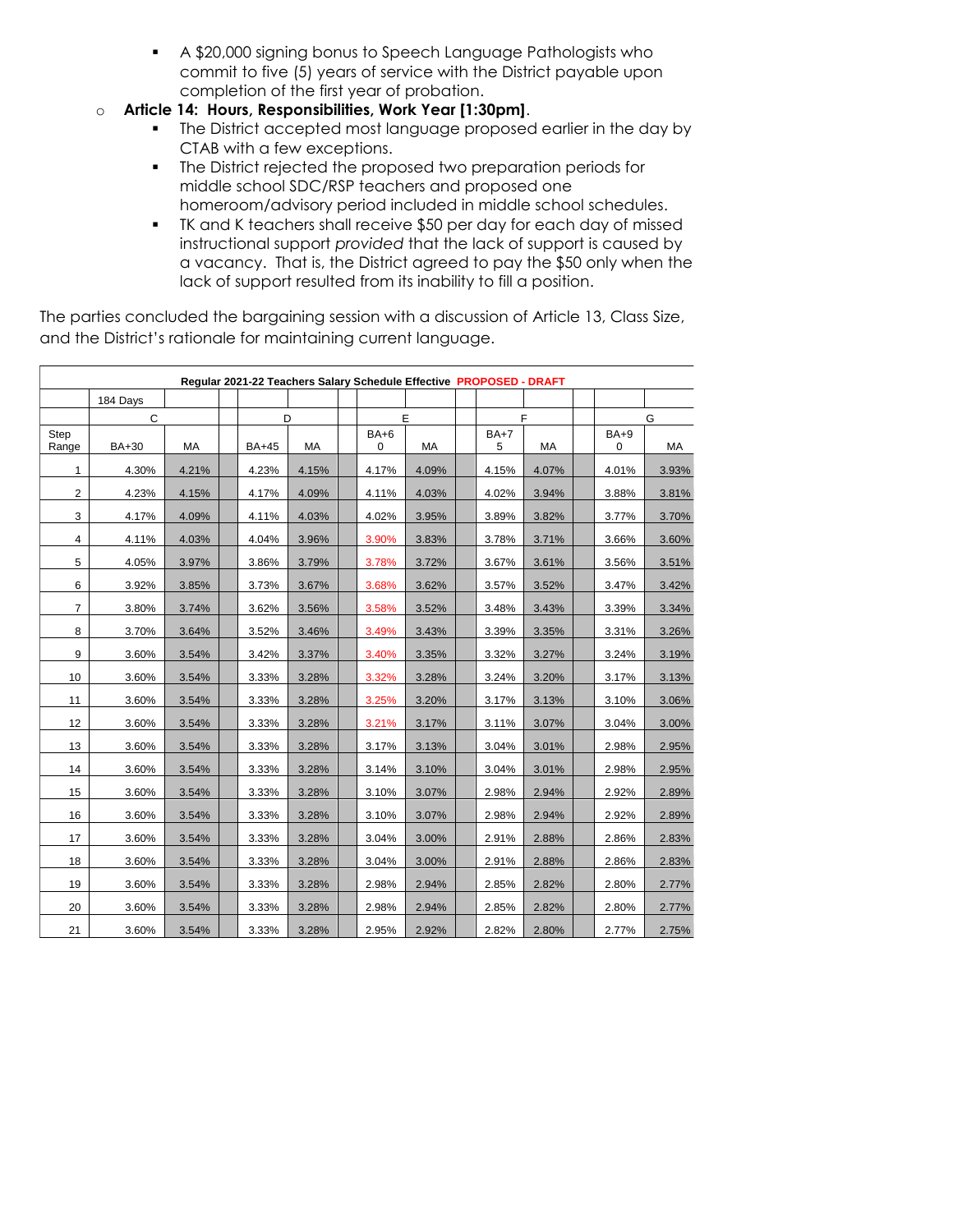- A \$20,000 signing bonus to Speech Language Pathologists who commit to five (5) years of service with the District payable upon completion of the first year of probation.
- o **Article 14: Hours, Responsibilities, Work Year [1:30pm]**.
	- The District accepted most language proposed earlier in the day by CTAB with a few exceptions.
	- The District rejected the proposed two preparation periods for middle school SDC/RSP teachers and proposed one homeroom/advisory period included in middle school schedules.
	- TK and K teachers shall receive \$50 per day for each day of missed instructional support *provided* that the lack of support is caused by a vacancy. That is, the District agreed to pay the \$50 only when the lack of support resulted from its inability to fill a position.

The parties concluded the bargaining session with a discussion of Article 13, Class Size, and the District's rationale for maintaining current language.

| Regular 2021-22 Teachers Salary Schedule Effective PROPOSED - DRAFT |          |       |  |              |       |  |             |       |  |             |       |             |       |
|---------------------------------------------------------------------|----------|-------|--|--------------|-------|--|-------------|-------|--|-------------|-------|-------------|-------|
|                                                                     | 184 Days |       |  |              |       |  |             |       |  |             |       |             |       |
|                                                                     | C        |       |  | D            |       |  | E           |       |  | F           |       | G           |       |
| Step<br>Range                                                       | BA+30    | МA    |  | <b>BA+45</b> | МA    |  | $BA+6$<br>0 | МA    |  | $BA+7$<br>5 | МA    | $BA+9$<br>0 | МA    |
| 1                                                                   | 4.30%    | 4.21% |  | 4.23%        | 4.15% |  | 4.17%       | 4.09% |  | 4.15%       | 4.07% | 4.01%       | 3.93% |
| $\overline{2}$                                                      | 4.23%    | 4.15% |  | 4.17%        | 4.09% |  | 4.11%       | 4.03% |  | 4.02%       | 3.94% | 3.88%       | 3.81% |
| 3                                                                   | 4.17%    | 4.09% |  | 4.11%        | 4.03% |  | 4.02%       | 3.95% |  | 3.89%       | 3.82% | 3.77%       | 3.70% |
| 4                                                                   | 4.11%    | 4.03% |  | 4.04%        | 3.96% |  | 3.90%       | 3.83% |  | 3.78%       | 3.71% | 3.66%       | 3.60% |
| 5                                                                   | 4.05%    | 3.97% |  | 3.86%        | 3.79% |  | 3.78%       | 3.72% |  | 3.67%       | 3.61% | 3.56%       | 3.51% |
| 6                                                                   | 3.92%    | 3.85% |  | 3.73%        | 3.67% |  | 3.68%       | 3.62% |  | 3.57%       | 3.52% | 3.47%       | 3.42% |
| $\overline{7}$                                                      | 3.80%    | 3.74% |  | 3.62%        | 3.56% |  | 3.58%       | 3.52% |  | 3.48%       | 3.43% | 3.39%       | 3.34% |
| 8                                                                   | 3.70%    | 3.64% |  | 3.52%        | 3.46% |  | 3.49%       | 3.43% |  | 3.39%       | 3.35% | 3.31%       | 3.26% |
| 9                                                                   | 3.60%    | 3.54% |  | 3.42%        | 3.37% |  | 3.40%       | 3.35% |  | 3.32%       | 3.27% | 3.24%       | 3.19% |
| 10                                                                  | 3.60%    | 3.54% |  | 3.33%        | 3.28% |  | 3.32%       | 3.28% |  | 3.24%       | 3.20% | 3.17%       | 3.13% |
| 11                                                                  | 3.60%    | 3.54% |  | 3.33%        | 3.28% |  | 3.25%       | 3.20% |  | 3.17%       | 3.13% | 3.10%       | 3.06% |
| 12                                                                  | 3.60%    | 3.54% |  | 3.33%        | 3.28% |  | 3.21%       | 3.17% |  | 3.11%       | 3.07% | 3.04%       | 3.00% |
| 13                                                                  | 3.60%    | 3.54% |  | 3.33%        | 3.28% |  | 3.17%       | 3.13% |  | 3.04%       | 3.01% | 2.98%       | 2.95% |
| 14                                                                  | 3.60%    | 3.54% |  | 3.33%        | 3.28% |  | 3.14%       | 3.10% |  | 3.04%       | 3.01% | 2.98%       | 2.95% |
| 15                                                                  | 3.60%    | 3.54% |  | 3.33%        | 3.28% |  | 3.10%       | 3.07% |  | 2.98%       | 2.94% | 2.92%       | 2.89% |
| 16                                                                  | 3.60%    | 3.54% |  | 3.33%        | 3.28% |  | 3.10%       | 3.07% |  | 2.98%       | 2.94% | 2.92%       | 2.89% |
| 17                                                                  | 3.60%    | 3.54% |  | 3.33%        | 3.28% |  | 3.04%       | 3.00% |  | 2.91%       | 2.88% | 2.86%       | 2.83% |
| 18                                                                  | 3.60%    | 3.54% |  | 3.33%        | 3.28% |  | 3.04%       | 3.00% |  | 2.91%       | 2.88% | 2.86%       | 2.83% |
| 19                                                                  | 3.60%    | 3.54% |  | 3.33%        | 3.28% |  | 2.98%       | 2.94% |  | 2.85%       | 2.82% | 2.80%       | 2.77% |
| 20                                                                  | 3.60%    | 3.54% |  | 3.33%        | 3.28% |  | 2.98%       | 2.94% |  | 2.85%       | 2.82% | 2.80%       | 2.77% |
| 21                                                                  | 3.60%    | 3.54% |  | 3.33%        | 3.28% |  | 2.95%       | 2.92% |  | 2.82%       | 2.80% | 2.77%       | 2.75% |